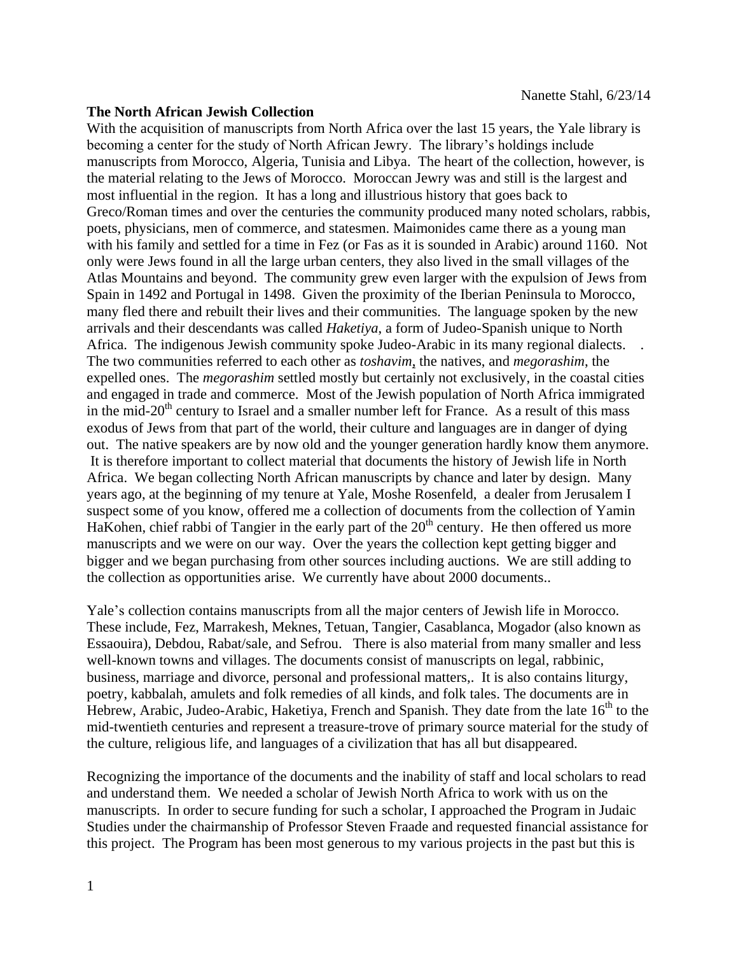## **The North African Jewish Collection**

With the acquisition of manuscripts from North Africa over the last 15 years, the Yale library is becoming a center for the study of North African Jewry. The library's holdings include manuscripts from Morocco, Algeria, Tunisia and Libya. The heart of the collection, however, is the material relating to the Jews of Morocco. Moroccan Jewry was and still is the largest and most influential in the region. It has a long and illustrious history that goes back to Greco/Roman times and over the centuries the community produced many noted scholars, rabbis, poets, physicians, men of commerce, and statesmen. Maimonides came there as a young man with his family and settled for a time in Fez (or Fas as it is sounded in Arabic) around 1160. Not only were Jews found in all the large urban centers, they also lived in the small villages of the Atlas Mountains and beyond. The community grew even larger with the expulsion of Jews from Spain in 1492 and Portugal in 1498. Given the proximity of the Iberian Peninsula to Morocco, many fled there and rebuilt their lives and their communities. The language spoken by the new arrivals and their descendants was called *Haketiya*, a form of Judeo-Spanish unique to North Africa. The indigenous Jewish community spoke Judeo-Arabic in its many regional dialects. . The two communities referred to each other as *toshavim*, the natives, and *megorashim*, the expelled ones. The *megorashim* settled mostly but certainly not exclusively, in the coastal cities and engaged in trade and commerce. Most of the Jewish population of North Africa immigrated in the mid-20<sup>th</sup> century to Israel and a smaller number left for France. As a result of this mass exodus of Jews from that part of the world, their culture and languages are in danger of dying out. The native speakers are by now old and the younger generation hardly know them anymore. It is therefore important to collect material that documents the history of Jewish life in North Africa. We began collecting North African manuscripts by chance and later by design. Many years ago, at the beginning of my tenure at Yale, Moshe Rosenfeld, a dealer from Jerusalem I suspect some of you know, offered me a collection of documents from the collection of Yamin HaKohen, chief rabbi of Tangier in the early part of the  $20<sup>th</sup>$  century. He then offered us more manuscripts and we were on our way. Over the years the collection kept getting bigger and bigger and we began purchasing from other sources including auctions. We are still adding to the collection as opportunities arise. We currently have about 2000 documents..

Yale's collection contains manuscripts from all the major centers of Jewish life in Morocco. These include, Fez, Marrakesh, Meknes, Tetuan, Tangier, Casablanca, Mogador (also known as Essaouira), Debdou, Rabat/sale, and Sefrou. There is also material from many smaller and less well-known towns and villages. The documents consist of manuscripts on legal, rabbinic, business, marriage and divorce, personal and professional matters,. It is also contains liturgy, poetry, kabbalah, amulets and folk remedies of all kinds, and folk tales. The documents are in Hebrew, Arabic, Judeo-Arabic, Haketiya, French and Spanish. They date from the late  $16<sup>th</sup>$  to the mid-twentieth centuries and represent a treasure-trove of primary source material for the study of the culture, religious life, and languages of a civilization that has all but disappeared.

Recognizing the importance of the documents and the inability of staff and local scholars to read and understand them. We needed a scholar of Jewish North Africa to work with us on the manuscripts. In order to secure funding for such a scholar, I approached the Program in Judaic Studies under the chairmanship of Professor Steven Fraade and requested financial assistance for this project. The Program has been most generous to my various projects in the past but this is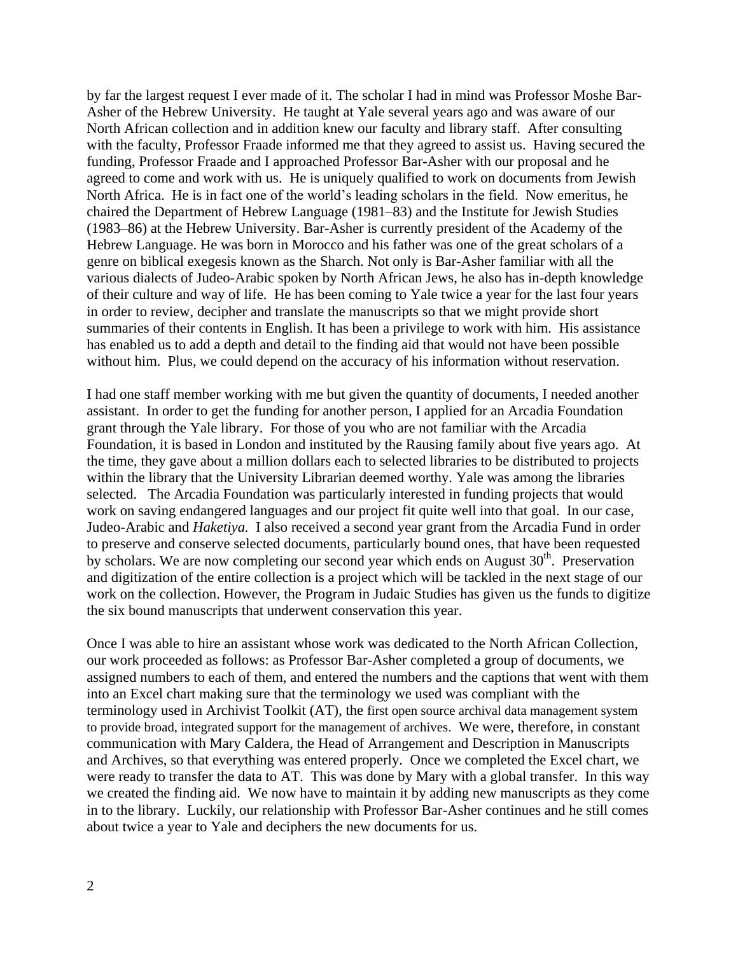by far the largest request I ever made of it. The scholar I had in mind was Professor Moshe Bar-Asher of the Hebrew University. He taught at Yale several years ago and was aware of our North African collection and in addition knew our faculty and library staff. After consulting with the faculty, Professor Fraade informed me that they agreed to assist us. Having secured the funding, Professor Fraade and I approached Professor Bar-Asher with our proposal and he agreed to come and work with us. He is uniquely qualified to work on documents from Jewish North Africa. He is in fact one of the world's leading scholars in the field. Now emeritus, he chaired the Department of Hebrew Language (1981–83) and the Institute for Jewish Studies (1983–86) at the Hebrew University. Bar-Asher is currently president of the Academy of the Hebrew Language. He was born in Morocco and his father was one of the great scholars of a genre on biblical exegesis known as the Sharch. Not only is Bar-Asher familiar with all the various dialects of Judeo-Arabic spoken by North African Jews, he also has in-depth knowledge of their culture and way of life. He has been coming to Yale twice a year for the last four years in order to review, decipher and translate the manuscripts so that we might provide short summaries of their contents in English. It has been a privilege to work with him. His assistance has enabled us to add a depth and detail to the finding aid that would not have been possible without him. Plus, we could depend on the accuracy of his information without reservation.

I had one staff member working with me but given the quantity of documents, I needed another assistant. In order to get the funding for another person, I applied for an Arcadia Foundation grant through the Yale library. For those of you who are not familiar with the Arcadia Foundation, it is based in London and instituted by the Rausing family about five years ago. At the time, they gave about a million dollars each to selected libraries to be distributed to projects within the library that the University Librarian deemed worthy. Yale was among the libraries selected. The Arcadia Foundation was particularly interested in funding projects that would work on saving endangered languages and our project fit quite well into that goal. In our case, Judeo-Arabic and *Haketiya.* I also received a second year grant from the Arcadia Fund in order to preserve and conserve selected documents, particularly bound ones, that have been requested by scholars. We are now completing our second year which ends on August 30<sup>th</sup>. Preservation and digitization of the entire collection is a project which will be tackled in the next stage of our work on the collection. However, the Program in Judaic Studies has given us the funds to digitize the six bound manuscripts that underwent conservation this year.

Once I was able to hire an assistant whose work was dedicated to the North African Collection, our work proceeded as follows: as Professor Bar-Asher completed a group of documents, we assigned numbers to each of them, and entered the numbers and the captions that went with them into an Excel chart making sure that the terminology we used was compliant with the terminology used in Archivist Toolkit (AT), the first open source archival data management system to provide broad, integrated support for the management of archives. We were, therefore, in constant communication with Mary Caldera, the Head of Arrangement and Description in Manuscripts and Archives, so that everything was entered properly. Once we completed the Excel chart, we were ready to transfer the data to AT. This was done by Mary with a global transfer. In this way we created the finding aid. We now have to maintain it by adding new manuscripts as they come in to the library. Luckily, our relationship with Professor Bar-Asher continues and he still comes about twice a year to Yale and deciphers the new documents for us.